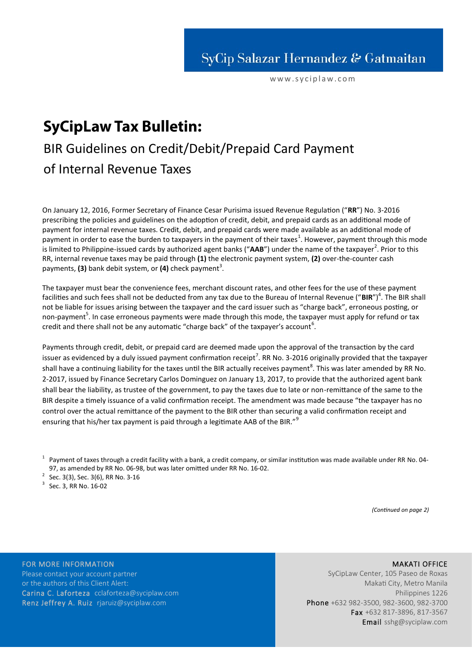www.syciplaw.com

# **SyCipLaw Tax Bulletin:** BIR Guidelines on Credit/Debit/Prepaid Card Payment of Internal Revenue Taxes

On January 12, 2016, Former Secretary of Finance Cesar Purisima issued Revenue Regulation ("**RR**") No. 3-2016 prescribing the policies and guidelines on the adoption of credit, debit, and prepaid cards as an additional mode of payment for internal revenue taxes. Credit, debit, and prepaid cards were made available as an additional mode of payment in order to ease the burden to taxpayers in the payment of their taxes<sup>1</sup>. However, payment through this mode is limited to Philippine-issued cards by authorized agent banks ("**AAB**") under the name of the taxpayer<sup>2</sup>. Prior to this RR, internal revenue taxes may be paid through **(1)** the electronic payment system, **(2)** over-the-counter cash payments, (3) bank debit system, or (4) check payment<sup>3</sup>.

The taxpayer must bear the convenience fees, merchant discount rates, and other fees for the use of these payment facilities and such fees shall not be deducted from any tax due to the Bureau of Internal Revenue ("**BIR**")<sup>4</sup>. The BIR shall not be liable for issues arising between the taxpayer and the card issuer such as "charge back", erroneous posting, or non-payment<sup>5</sup>. In case erroneous payments were made through this mode, the taxpayer must apply for refund or tax credit and there shall not be any automatic "charge back" of the taxpayer's account<sup>6</sup>.

Payments through credit, debit, or prepaid card are deemed made upon the approval of the transaction by the card issuer as evidenced by a duly issued payment confirmation receipt<sup>7</sup>. RR No. 3-2016 originally provided that the taxpayer shall have a continuing liability for the taxes until the BIR actually receives payment<sup>8</sup>. This was later amended by RR No. 2-2017, issued by Finance Secretary Carlos Dominguez on January 13, 2017, to provide that the authorized agent bank shall bear the liability, as trustee of the government, to pay the taxes due to late or non-remittance of the same to the BIR despite a timely issuance of a valid confirmation receipt. The amendment was made because "the taxpayer has no control over the actual remittance of the payment to the BIR other than securing a valid confirmation receipt and ensuring that his/her tax payment is paid through a legitimate AAB of the BIR."<sup>9</sup>

 $1$  Payment of taxes through a credit facility with a bank, a credit company, or similar institution was made available under RR No. 04-97, as amended by RR No. 06-98, but was later omitted under RR No. 16-02.

- $2^{2}$  Sec. 3(3), Sec. 3(6), RR No. 3-16
- $3$  Sec. 3, RR No. 16-02

*(Continued on page 2)*

MAKATI OFFICE

FOR MORE INFORMATION Please contact your account partner or the authors of this Client Alert: Carina C. Laforteza cclaforteza@syciplaw.com Renz Jeffrey A. Ruiz rjaruiz@syciplaw.com

SyCipLaw Center, 105 Paseo de Roxas Makati City, Metro Manila Philippines 1226 Phone +632 982-3500, 982-3600, 982-3700 Fax +632 817-3896, 817-3567 Email sshg@syciplaw.com